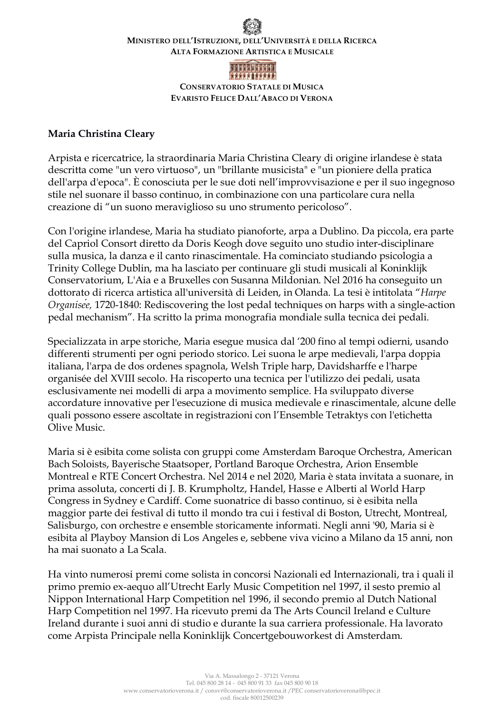# **MINISTERO DELL'ISTRUZIONE, DELL'UNIVERSITÀ E DELLA RICERCA ALTA FORMAZIONE ARTISTICA E MUSICALE**



**CONSERVATORIO STATALE DI MUSICA EVARISTO FELICE DALL'ABACO DI VERONA**

## **Maria Christina Cleary**

Arpista e ricercatrice, la straordinaria Maria Christina Cleary di origine irlandese è stata descritta come "un vero virtuoso", un "brillante musicista" e "un pioniere della pratica dell'arpa d'epoca". È conosciuta per le sue doti nell'improvvisazione e per il suo ingegnoso stile nel suonare il basso continuo, in combinazione con una particolare cura nella creazione di "un suono meraviglioso su uno strumento pericoloso".

Con l'origine irlandese, Maria ha studiato pianoforte, arpa a Dublino. Da piccola, era parte del Capriol Consort diretto da Doris Keogh dove seguito uno studio inter-disciplinare sulla musica, la danza e il canto rinascimentale. Ha cominciato studiando psicologia a Trinity College Dublin, ma ha lasciato per continuare gli studi musicali al Koninklijk Conservatorium, L'Aia e a Bruxelles con Susanna Mildonian. Nel 2016 ha conseguito un dottorato di ricerca artistica all'università di Leiden, in Olanda. La tesi è intitolata "*Harpe Organisée,* 1720-1840: Rediscovering the lost pedal techniques on harps with a single-action pedal mechanism". Ha scritto la prima monografia mondiale sulla tecnica dei pedali.

Specializzata in arpe storiche, Maria esegue musica dal '200 fino al tempi odierni, usando differenti strumenti per ogni periodo storico. Lei suona le arpe medievali, l'arpa doppia italiana, l'arpa de dos ordenes spagnola, Welsh Triple harp, Davidsharffe e l'harpe organisée del XVIII secolo. Ha riscoperto una tecnica per l'utilizzo dei pedali, usata esclusivamente nei modelli di arpa a movimento semplice. Ha sviluppato diverse accordature innovative per l'esecuzione di musica medievale e rinascimentale, alcune delle quali possono essere ascoltate in registrazioni con l'Ensemble Tetraktys con l'etichetta Olive Music.

Maria si è esibita come solista con gruppi come Amsterdam Baroque Orchestra, American Bach Soloists, Bayerische Staatsoper, Portland Baroque Orchestra, Arion Ensemble Montreal e RTE Concert Orchestra. Nel 2014 e nel 2020, Maria è stata invitata a suonare, in prima assoluta, concerti di J. B. Krumpholtz, Handel, Hasse e Alberti al World Harp Congress in Sydney e Cardiff. Come suonatrice di basso continuo, si è esibita nella maggior parte dei festival di tutto il mondo tra cui i festival di Boston, Utrecht, Montreal, Salisburgo, con orchestre e ensemble storicamente informati. Negli anni '90, Maria si è esibita al Playboy Mansion di Los Angeles e, sebbene viva vicino a Milano da 15 anni, non ha mai suonato a La Scala.

Ha vinto numerosi premi come solista in concorsi Nazionali ed Internazionali, tra i quali il primo premio ex-aequo all'Utrecht Early Music Competition nel 1997, il sesto premio al Nippon International Harp Competition nel 1996, il secondo premio al Dutch National Harp Competition nel 1997. Ha ricevuto premi da The Arts Council Ireland e Culture Ireland durante i suoi anni di studio e durante la sua carriera professionale. Ha lavorato come Arpista Principale nella Koninklijk Concertgebouworkest di Amsterdam.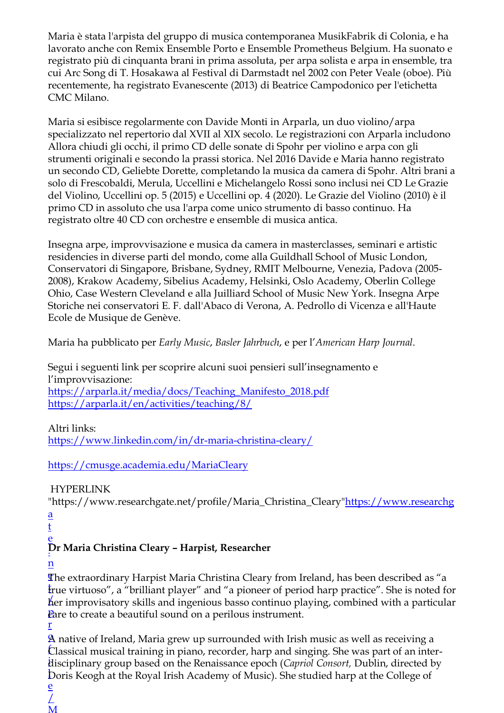Maria è stata l'arpista del gruppo di musica contemporanea MusikFabrik di Colonia, e ha lavorato anche con Remix Ensemble Porto e Ensemble Prometheus Belgium. Ha suonato e registrato più di cinquanta brani in prima assoluta, per arpa solista e arpa in ensemble, tra cui Arc Song di T. Hosakawa al Festival di Darmstadt nel 2002 con Peter Veale (oboe). Più recentemente, ha registrato Evanescente (2013) di Beatrice Campodonico per l'etichetta CMC Milano.

Maria si esibisce regolarmente con Davide Monti in Arparla, un duo violino/arpa specializzato nel repertorio dal XVII al XIX secolo. Le registrazioni con Arparla includono Allora chiudi gli occhi, il primo CD delle sonate di Spohr per violino e arpa con gli strumenti originali e secondo la prassi storica. Nel 2016 Davide e Maria hanno registrato un secondo CD, Geliebte Dorette, completando la musica da camera di Spohr. Altri brani a solo di Frescobaldi, Merula, Uccellini e Michelangelo Rossi sono inclusi nei CD Le Grazie del Violino, Uccellini op. 5 (2015) e Uccellini op. 4 (2020). Le Grazie del Violino (2010) è il primo CD in assoluto che usa l'arpa come unico strumento di basso continuo. Ha registrato oltre 40 CD con orchestre e ensemble di musica antica.

Insegna arpe, improvvisazione e musica da camera in masterclasses, seminari e artistic residencies in diverse parti del mondo, come alla Guildhall School of Music London, Conservatori di Singapore, Brisbane, Sydney, RMIT Melbourne, Venezia, Padova (2005- 2008), Krakow Academy, Sibelius Academy, Helsinki, Oslo Academy, Oberlin College Ohio, Case Western Cleveland e alla Juilliard School of Music New York. Insegna Arpe Storiche nei conservatori E. F. dall'Abaco di Verona, A. Pedrollo di Vicenza e all'Haute Ecole de Musique de Genève.

Maria ha pubblicato per *Early Music*, *Basler Jahrbuch*, e per l'*American Harp Journal*.

Segui i seguenti link per scoprire alcuni suoi pensieri sull'insegnamento e l'improvvisazione: https://arparla.it/media/docs/Teaching\_Manifesto\_2018.pdf https://arparla.it/en/activities/teaching/8/

# Altri links:

https://www.linkedin.com/in/dr-maria-christina-cleary/

# https://cmusge.academia.edu/MariaCleary

HYPERLINK

"https://www.researchgate.net/profile/Maria\_Christina\_Cleary"https://www.researchg a

- t
- e

# . **Dr Maria Christina Cleary – Harpist, Researcher**

n

The extraordinary Harpist Maria Christina Cleary from Ireland, has been described as "a t true virtuoso", a "brilliant player" and "a pioneer of period harp practice". She is noted for / her improvisatory skills and ingenious basso continuo playing, combined with a particular Pare to create a beautiful sound on a perilous instrument.

r

/ M

A native of Ireland, Maria grew up surrounded with Irish music as well as receiving a f Classical musical training in piano, recorder, harp and singing. She was part of an interi disciplinary group based on the Renaissance epoch (*Capriol Consort,* Dublin, directed by l Doris Keogh at the Royal Irish Academy of Music). She studied harp at the College of e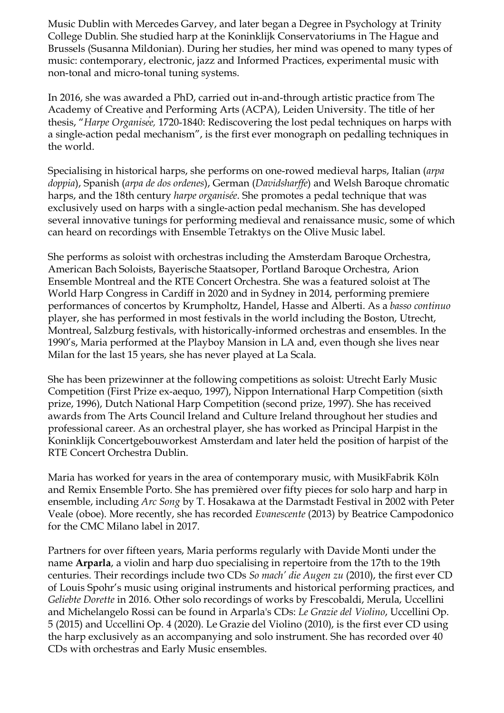Music Dublin with Mercedes Garvey, and later began a Degree in Psychology at Trinity College Dublin. She studied harp at the Koninklijk Conservatoriums in The Hague and Brussels (Susanna Mildonian). During her studies, her mind was opened to many types of music: contemporary, electronic, jazz and Informed Practices, experimental music with non-tonal and micro-tonal tuning systems.

In 2016, she was awarded a PhD, carried out in-and-through artistic practice from The Academy of Creative and Performing Arts (ACPA), Leiden University. The title of her thesis, "*Harpe Organisée,* 1720-1840: Rediscovering the lost pedal techniques on harps with a single-action pedal mechanism", is the first ever monograph on pedalling techniques in the world.

Specialising in historical harps, she performs on one-rowed medieval harps, Italian (*arpa doppia*), Spanish (*arpa de dos ordenes*), German (*Davidsharffe*) and Welsh Baroque chromatic harps, and the 18th century *harpe organisée*. She promotes a pedal technique that was exclusively used on harps with a single-action pedal mechanism. She has developed several innovative tunings for performing medieval and renaissance music, some of which can heard on recordings with Ensemble Tetraktys on the Olive Music label.

She performs as soloist with orchestras including the Amsterdam Baroque Orchestra, American Bach Soloists, Bayerische Staatsoper, Portland Baroque Orchestra, Arion Ensemble Montreal and the RTE Concert Orchestra. She was a featured soloist at The World Harp Congress in Cardiff in 2020 and in Sydney in 2014, performing premiere performances of concertos by Krumpholtz, Handel, Hasse and Alberti. As a *basso continuo* player, she has performed in most festivals in the world including the Boston, Utrecht, Montreal, Salzburg festivals, with historically-informed orchestras and ensembles. In the 1990's, Maria performed at the Playboy Mansion in LA and, even though she lives near Milan for the last 15 years, she has never played at La Scala.

She has been prizewinner at the following competitions as soloist: Utrecht Early Music Competition (First Prize ex-aequo, 1997), Nippon International Harp Competition (sixth prize, 1996), Dutch National Harp Competition (second prize, 1997). She has received awards from The Arts Council Ireland and Culture Ireland throughout her studies and professional career. As an orchestral player, she has worked as Principal Harpist in the Koninklijk Concertgebouworkest Amsterdam and later held the position of harpist of the RTE Concert Orchestra Dublin.

Maria has worked for years in the area of contemporary music, with MusikFabrik Köln and Remix Ensemble Porto. She has premièred over fifty pieces for solo harp and harp in ensemble, including *Arc Song* by T. Hosakawa at the Darmstadt Festival in 2002 with Peter Veale (oboe). More recently, she has recorded *Evanescente* (2013) by Beatrice Campodonico for the CMC Milano label in 2017.

Partners for over fifteen years, Maria performs regularly with Davide Monti under the name **Arparla**, a violin and harp duo specialising in repertoire from the 17th to the 19th centuries. Their recordings include two CDs *So mach' die Augen zu* (2010), the first ever CD of Louis Spohr's music using original instruments and historical performing practices, and *Geliebte Dorette* in 2016. Other solo recordings of works by Frescobaldi, Merula, Uccellini and Michelangelo Rossi can be found in Arparla's CDs: *Le Grazie del Violino*, Uccellini Op. 5 (2015) and Uccellini Op. 4 (2020). Le Grazie del Violino (2010), is the first ever CD using the harp exclusively as an accompanying and solo instrument. She has recorded over 40 CDs with orchestras and Early Music ensembles.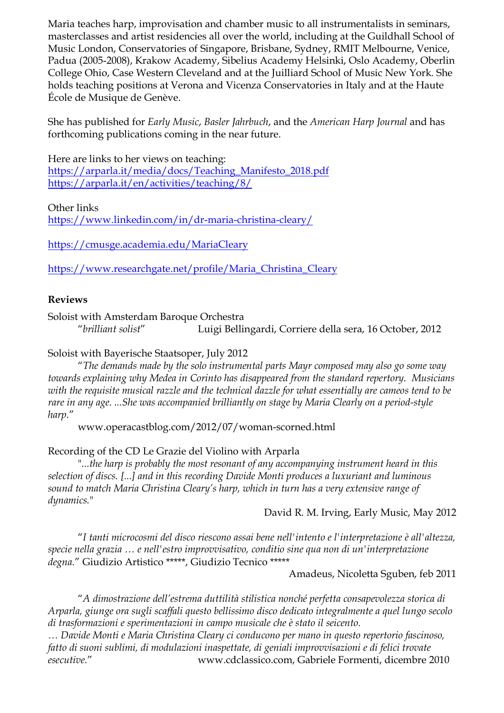Maria teaches harp, improvisation and chamber music to all instrumentalists in seminars, masterclasses and artist residencies all over the world, including at the Guildhall School of Music London, Conservatories of Singapore, Brisbane, Sydney, RMIT Melbourne, Venice, Padua (2005-2008), Krakow Academy, Sibelius Academy Helsinki, Oslo Academy, Oberlin College Ohio, Case Western Cleveland and at the Juilliard School of Music New York. She holds teaching positions at Verona and Vicenza Conservatories in Italy and at the Haute École de Musique de Genève.

She has published for *Early Music*, *Basler Jahrbuch*, and the *American Harp Journal* and has forthcoming publications coming in the near future.

Here are links to her views on teaching: https://arparla.it/media/docs/Teaching\_Manifesto\_2018.pdf https://arparla.it/en/activities/teaching/8/

Other links

https://www.linkedin.com/in/dr-maria-christina-cleary/

https://cmusge.academia.edu/MariaCleary

https://www.researchgate.net/profile/Maria\_Christina\_Cleary

## **Reviews**

Soloist with Amsterdam Baroque Orchestra

"*brilliant solist*" Luigi Bellingardi, Corriere della sera, 16 October, 2012

## Soloist with Bayerische Staatsoper, July 2012

"*The demands made by the solo instrumental parts Mayr composed may also go some way towards explaining why Medea in Corinto has disappeared from the standard repertory. Musicians with the requisite musical razzle and the technical dazzle for what essentially are cameos tend to be rare in any age. ...She was accompanied brilliantly on stage by Maria Clearly on a period-style harp.*"

www.operacastblog.com/2012/07/woman-scorned.html

## Recording of the CD Le Grazie del Violino with Arparla

"*...the harp is probably the most resonant of any accompanying instrument heard in this selection of discs. [...] and in this recording Davide Monti produces a luxuriant and luminous sound to match Maria Christina Cleary's harp, which in turn has a very extensive range of dynamics.*"

David R. M. Irving, Early Music, May 2012

"*I tanti microcosmi del disco riescono assai bene nell'intento e l'interpretazione è all'altezza, specie nella grazia … e nell'estro improvvisativo, conditio sine qua non di un'interpretazione degna.*" Giudizio Artistico \*\*\*\*\*, Giudizio Tecnico \*\*\*\*\*

#### Amadeus, Nicoletta Sguben, feb 2011

"*A dimostrazione dell'estrema duttilità stilistica nonché perfetta consapevolezza storica di Arparla, giunge ora sugli scaffali questo bellissimo disco dedicato integralmente a quel lungo secolo di trasformazioni e sperimentazioni in campo musicale che è stato il seicento.* 

*… Davide Monti e Maria Christina Cleary ci conducono per mano in questo repertorio fascinoso, fatto di suoni sublimi, di modulazioni inaspettate, di geniali improvvisazioni e di felici trovate esecutive.*" www.cdclassico.com, Gabriele Formenti, dicembre 2010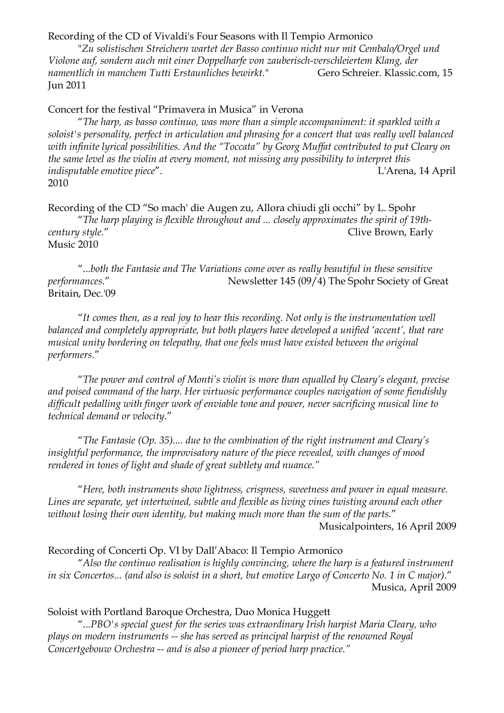Recording of the CD of Vivaldi's Four Seasons with Il Tempio Armonico

"*Zu solistischen Streichern wartet der Basso continuo nicht nur mit Cembalo/Orgel und Violone auf, sondern auch mit einer Doppelharfe von zauberisch-verschleiertem Klang, der namentlich in manchem Tutti Erstaunliches bewirkt.*" Gero Schreier. Klassic.com, 15 Jun 2011

#### Concert for the festival "Primavera in Musica" in Verona

"*The harp, as basso continuo, was more than a simple accompaniment: it sparkled with a soloist's personality, perfect in articulation and phrasing for a concert that was really well balanced with infinite lyrical possibilities. And the "Toccata" by Georg Muffat contributed to put Cleary on the same level as the violin at every moment, not missing any possibility to interpret this indisputable emotive piece*". L'Arena, 14 April 2010

Recording of the CD "So mach' die Augen zu, Allora chiudi gli occhi" by L. Spohr "*The harp playing is flexible throughout and ... closely approximates the spirit of 19thcentury style."* Clive Brown, Early Music 2010

"...*both the Fantasie and The Variations come over as really beautiful in these sensitive performances*." Newsletter 145 (09/4) The Spohr Society of Great Britain, Dec.'09

"*It comes then, as a real joy to hear this recording. Not only is the instrumentation well balanced and completely appropriate, but both players have developed a unified 'accent', that rare musical unity bordering on telepathy, that one feels must have existed between the original performers*."

"*The power and control of Monti's violin is more than equalled by Cleary's elegant, precise and poised command of the harp. Her virtuosic performance couples navigation of some fiendishly difficult pedalling with finger work of enviable tone and power, never sacrificing musical line to technical demand or velocity*."

"*The Fantasie (Op. 35).... due to the combination of the right instrument and Cleary's insightful performance, the improvisatory nature of the piece revealed, with changes of mood rendered in tones of light and shade of great subtlety and nuance."*

"*Here, both instruments show lightness, crispness, sweetness and power in equal measure. Lines are separate, yet intertwined, subtle and flexible as living vines twisting around each other without losing their own identity, but making much more than the sum of the parts.*" Musicalpointers, 16 April 2009

#### Recording of Concerti Op. VI by Dall'Abaco: Il Tempio Armonico

"*Also the continuo realisation is highly convincing, where the harp is a featured instrument in six Concertos... (and also is soloist in a short, but emotive Largo of Concerto No. 1 in C major).*" Musica, April 2009

#### Soloist with Portland Baroque Orchestra, Duo Monica Huggett

"...*PBO's special guest for the series was extraordinary Irish harpist Maria Cleary, who plays on modern instruments -- she has served as principal harpist of the renowned Royal Concertgebouw Orchestra -- and is also a pioneer of period harp practice."*